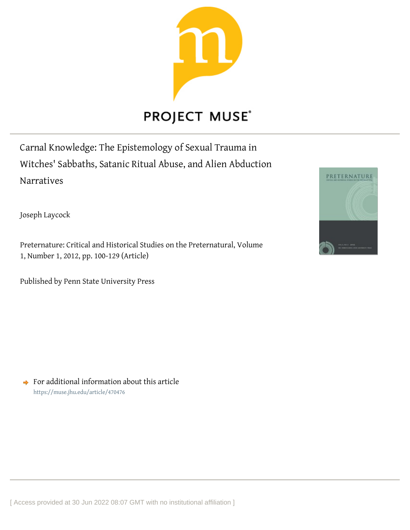

# **PROJECT MUSE®**

Carnal Knowledge: The Epistemology of Sexual Trauma in Witches' Sabbaths, Satanic Ritual Abuse, and Alien Abduction Narratives

Joseph Laycock

Preternature: Critical and Historical Studies on the Preternatural, Volume 1, Number 1, 2012, pp. 100-129 (Article)

Published by Penn State University Press



 $\rightarrow$  For additional information about this article <https://muse.jhu.edu/article/470476>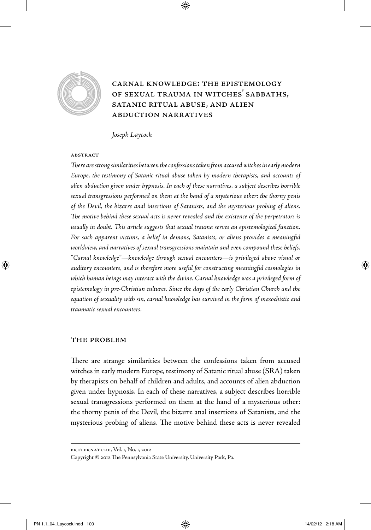

## carnal knowledge: the epistemology of sexual trauma in witches' sabbaths, satanic ritual abuse, and alien abduction narratives

*Joseph Laycock*

#### **ABSTRACT**

*There are strong similarities between the confessions taken from accused witches in early modern Europe, the testimony of Satanic ritual abuse taken by modern therapists, and accounts of alien abduction given under hypnosis. In each of these narratives, a subject describes horrible sexual transgressions performed on them at the hand of a mysterious other: the thorny penis of the Devil, the bizarre anal insertions of Satanists, and the mysterious probing of aliens. The motive behind these sexual acts is never revealed and the existence of the perpetrators is usually in doubt. This article suggests that sexual trauma serves an epistemological function. For such apparent victims, a belief in demons, Satanists, or aliens provides a meaningful worldview, and narratives of sexual transgressions maintain and even compound these beliefs. "Carnal knowledge"—knowledge through sexual encounters—is privileged above visual or auditory encounters, and is therefore more useful for constructing meaningful cosmologies in which human beings may interact with the divine. Carnal knowledge was a privileged form of epistemology in pre-Christian cultures. Since the days of the early Christian Church and the equation of sexuality with sin, carnal knowledge has survived in the form of masochistic and traumatic sexual encounters.*

#### the problem

There are strange similarities between the confessions taken from accused witches in early modern Europe, testimony of Satanic ritual abuse (SRA) taken by therapists on behalf of children and adults, and accounts of alien abduction given under hypnosis. In each of these narratives, a subject describes horrible sexual transgressions performed on them at the hand of a mysterious other: the thorny penis of the Devil, the bizarre anal insertions of Satanists, and the mysterious probing of aliens. The motive behind these acts is never revealed

preternature, Vol. 1, No. 1, 2012

Copyright © 2012 The Pennsylvania State University, University Park, Pa.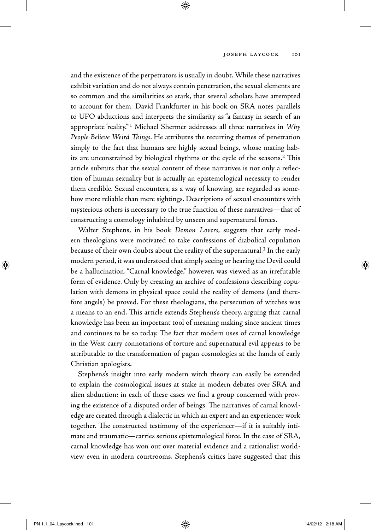and the existence of the perpetrators is usually in doubt. While these narratives exhibit variation and do not always contain penetration, the sexual elements are so common and the similarities so stark, that several scholars have attempted to account for them. David Frankfurter in his book on SRA notes parallels to UFO abductions and interprets the similarity as "a fantasy in search of an appropriate 'reality.'"1 Michael Shermer addresses all three narratives in *Why People Believe Weird Things*. He attributes the recurring themes of penetration simply to the fact that humans are highly sexual beings, whose mating habits are unconstrained by biological rhythms or the cycle of the seasons.2 This article submits that the sexual content of these narratives is not only a reflection of human sexuality but is actually an epistemological necessity to render them credible. Sexual encounters, as a way of knowing, are regarded as somehow more reliable than mere sightings. Descriptions of sexual encounters with mysterious others is necessary to the true function of these narratives—that of constructing a cosmology inhabited by unseen and supernatural forces.

Walter Stephens, in his book *Demon Lovers*, suggests that early modern theologians were motivated to take confessions of diabolical copulation because of their own doubts about the reality of the supernatural.<sup>3</sup> In the early modern period, it was understood that simply seeing or hearing the Devil could be a hallucination. "Carnal knowledge," however, was viewed as an irrefutable form of evidence. Only by creating an archive of confessions describing copulation with demons in physical space could the reality of demons (and therefore angels) be proved. For these theologians, the persecution of witches was a means to an end. This article extends Stephens's theory, arguing that carnal knowledge has been an important tool of meaning making since ancient times and continues to be so today. The fact that modern uses of carnal knowledge in the West carry connotations of torture and supernatural evil appears to be attributable to the transformation of pagan cosmologies at the hands of early Christian apologists.

Stephens's insight into early modern witch theory can easily be extended to explain the cosmological issues at stake in modern debates over SRA and alien abduction: in each of these cases we find a group concerned with proving the existence of a disputed order of beings. The narratives of carnal knowledge are created through a dialectic in which an expert and an experiencer work together. The constructed testimony of the experiencer—if it is suitably intimate and traumatic—carries serious epistemological force. In the case of SRA, carnal knowledge has won out over material evidence and a rationalist worldview even in modern courtrooms. Stephens's critics have suggested that this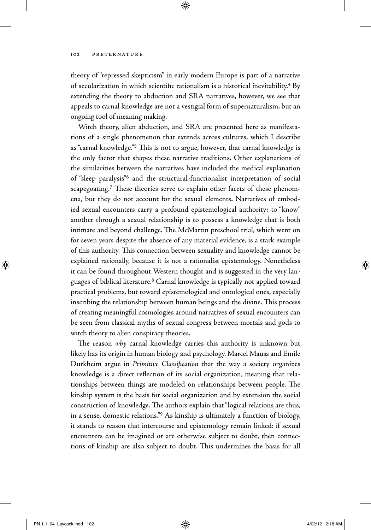theory of "repressed skepticism" in early modern Europe is part of a narrative of secularization in which scientific rationalism is a historical inevitability.4 By extending the theory to abduction and SRA narratives, however, we see that appeals to carnal knowledge are not a vestigial form of supernaturalism, but an ongoing tool of meaning making.

Witch theory, alien abduction, and SRA are presented here as manifestations of a single phenomenon that extends across cultures, which I describe as "carnal knowledge."<sup>5</sup> This is not to argue, however, that carnal knowledge is the only factor that shapes these narrative traditions. Other explanations of the similarities between the narratives have included the medical explanation of "sleep paralysis"6 and the structural-functionalist interpretation of social scapegoating.<sup>7</sup> These theories serve to explain other facets of these phenomena, but they do not account for the sexual elements. Narratives of embodied sexual encounters carry a profound epistemological authority: to "know" another through a sexual relationship is to possess a knowledge that is both intimate and beyond challenge. The McMartin preschool trial, which went on for seven years despite the absence of any material evidence, is a stark example of this authority. This connection between sexuality and knowledge cannot be explained rationally, because it is not a rationalist epistemology. Nonetheless it can be found throughout Western thought and is suggested in the very languages of biblical literature.8 Carnal knowledge is typically not applied toward practical problems, but toward epistemological and ontological ones, especially inscribing the relationship between human beings and the divine. This process of creating meaningful cosmologies around narratives of sexual encounters can be seen from classical myths of sexual congress between mortals and gods to witch theory to alien conspiracy theories.

The reason *why* carnal knowledge carries this authority is unknown but likely has its origin in human biology and psychology. Marcel Mauss and Emile Durkheim argue in *Primitive Classification* that the way a society organizes knowledge is a direct reflection of its social organization, meaning that relationships between things are modeled on relationships between people. The kinship system is the basis for social organization and by extension the social construction of knowledge. The authors explain that "logical relations are thus, in a sense, domestic relations."9 As kinship is ultimately a function of biology, it stands to reason that intercourse and epistemology remain linked: if sexual encounters can be imagined or are otherwise subject to doubt, then connections of kinship are also subject to doubt. This undermines the basis for all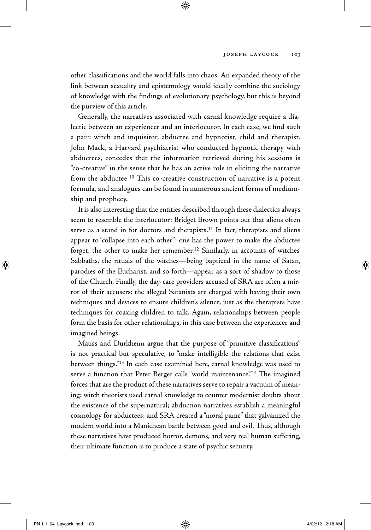other classifications and the world falls into chaos. An expanded theory of the link between sexuality and epistemology would ideally combine the sociology of knowledge with the findings of evolutionary psychology, but this is beyond the purview of this article.

Generally, the narratives associated with carnal knowledge require a dialectic between an experiencer and an interlocutor. In each case, we find such a pair: witch and inquisitor, abductee and hypnotist, child and therapist. John Mack, a Harvard psychiatrist who conducted hypnotic therapy with abductees, concedes that the information retrieved during his sessions is "co-creative" in the sense that he has an active role in eliciting the narrative from the abductee.10 This co-creative construction of narrative is a potent formula, and analogues can be found in numerous ancient forms of mediumship and prophecy.

It is also interesting that the entities described through these dialectics always seem to resemble the interlocutor: Bridget Brown points out that aliens often serve as a stand in for doctors and therapists.<sup>11</sup> In fact, therapists and aliens appear to "collapse into each other": one has the power to make the abductee forget, the other to make her remember.<sup>12</sup> Similarly, in accounts of witches' Sabbaths, the rituals of the witches—being baptized in the name of Satan, parodies of the Eucharist, and so forth—appear as a sort of shadow to those of the Church. Finally, the day-care providers accused of SRA are often a mirror of their accusers: the alleged Satanists are charged with having their own techniques and devices to ensure children's silence, just as the therapists have techniques for coaxing children to talk. Again, relationships between people form the basis for other relationships, in this case between the experiencer and imagined beings.

Mauss and Durkheim argue that the purpose of "primitive classifications" is not practical but speculative, to "make intelligible the relations that exist between things."13 In each case examined here, carnal knowledge was used to serve a function that Peter Berger calls "world maintenance."14 The imagined forces that are the product of these narratives serve to repair a vacuum of meaning: witch theorists used carnal knowledge to counter modernist doubts about the existence of the supernatural; abduction narratives establish a meaningful cosmology for abductees; and SRA created a "moral panic" that galvanized the modern world into a Manichean battle between good and evil. Thus, although these narratives have produced horror, demons, and very real human suffering, their ultimate function is to produce a state of psychic security.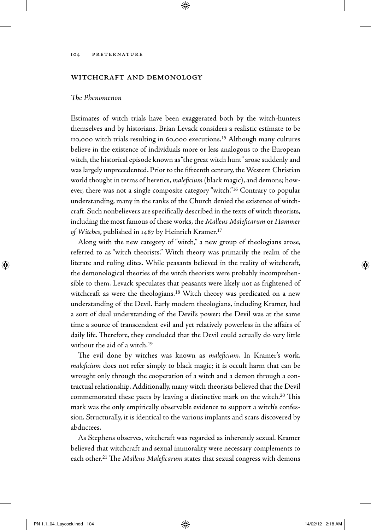#### witchcraft and demonology

#### *The Phenomenon*

Estimates of witch trials have been exaggerated both by the witch-hunters themselves and by historians. Brian Levack considers a realistic estimate to be 110,000 witch trials resulting in 60,000 executions.15 Although many cultures believe in the existence of individuals more or less analogous to the European witch, the historical episode known as "the great witch hunt" arose suddenly and was largely unprecedented. Prior to the fifteenth century, the Western Christian world thought in terms of heretics, *maleficium* (black magic), and demons; however, there was not a single composite category "witch."16 Contrary to popular understanding, many in the ranks of the Church denied the existence of witchcraft. Such nonbelievers are specifically described in the texts of witch theorists, including the most famous of these works, the *Malleus Maleficarum* or *Hammer of Witches*, published in 1487 by Heinrich Kramer.17

Along with the new category of "witch," a new group of theologians arose, referred to as "witch theorists." Witch theory was primarily the realm of the literate and ruling elites. While peasants believed in the reality of witchcraft, the demonological theories of the witch theorists were probably incomprehensible to them. Levack speculates that peasants were likely not as frightened of witchcraft as were the theologians.18 Witch theory was predicated on a new understanding of the Devil. Early modern theologians, including Kramer, had a sort of dual understanding of the Devil's power: the Devil was at the same time a source of transcendent evil and yet relatively powerless in the affairs of daily life. Therefore, they concluded that the Devil could actually do very little without the aid of a witch.19

The evil done by witches was known as *maleficium*. In Kramer's work, *maleficium* does not refer simply to black magic; it is occult harm that can be wrought only through the cooperation of a witch and a demon through a contractual relationship. Additionally, many witch theorists believed that the Devil commemorated these pacts by leaving a distinctive mark on the witch.<sup>20</sup> This mark was the only empirically observable evidence to support a witch's confession. Structurally, it is identical to the various implants and scars discovered by abductees.

As Stephens observes, witchcraft was regarded as inherently sexual. Kramer believed that witchcraft and sexual immorality were necessary complements to each other.21 The *Malleus Maleficarum* states that sexual congress with demons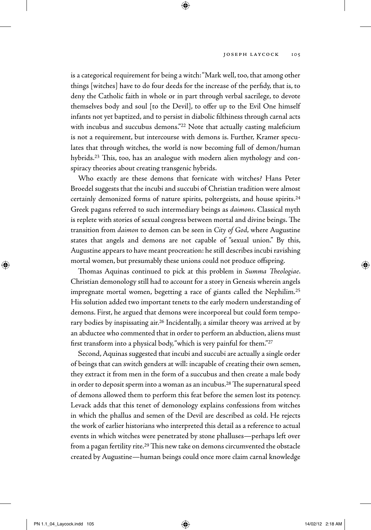is a categorical requirement for being a witch: "Mark well, too, that among other things [witches] have to do four deeds for the increase of the perfidy, that is, to deny the Catholic faith in whole or in part through verbal sacrilege, to devote themselves body and soul [to the Devil], to offer up to the Evil One himself infants not yet baptized, and to persist in diabolic filthiness through carnal acts with incubus and succubus demons."<sup>22</sup> Note that actually casting maleficium is not a requirement, but intercourse with demons is. Further, Kramer speculates that through witches, the world is now becoming full of demon/human hybrids.23 This, too, has an analogue with modern alien mythology and conspiracy theories about creating transgenic hybrids.

Who exactly are these demons that fornicate with witches? Hans Peter Broedel suggests that the incubi and succubi of Christian tradition were almost certainly demonized forms of nature spirits, poltergeists, and house spirits.24 Greek pagans referred to such intermediary beings as *daimons*. Classical myth is replete with stories of sexual congress between mortal and divine beings. The transition from *daimon* to demon can be seen in *City of God*, where Augustine states that angels and demons are not capable of "sexual union." By this, Augustine appears to have meant procreation: he still describes incubi ravishing mortal women, but presumably these unions could not produce offspring.

Thomas Aquinas continued to pick at this problem in *Summa Theologiae*. Christian demonology still had to account for a story in Genesis wherein angels impregnate mortal women, begetting a race of giants called the Nephilim.25 His solution added two important tenets to the early modern understanding of demons. First, he argued that demons were incorporeal but could form temporary bodies by inspissating air.<sup>26</sup> Incidentally, a similar theory was arrived at by an abductee who commented that in order to perform an abduction, aliens must first transform into a physical body, "which is very painful for them." $^{27}$ 

Second, Aquinas suggested that incubi and succubi are actually a single order of beings that can switch genders at will: incapable of creating their own semen, they extract it from men in the form of a succubus and then create a male body in order to deposit sperm into a woman as an incubus.<sup>28</sup> The supernatural speed of demons allowed them to perform this feat before the semen lost its potency. Levack adds that this tenet of demonology explains confessions from witches in which the phallus and semen of the Devil are described as cold. He rejects the work of earlier historians who interpreted this detail as a reference to actual events in which witches were penetrated by stone phalluses—perhaps left over from a pagan fertility rite.<sup>29</sup> This new take on demons circumvented the obstacle created by Augustine—human beings could once more claim carnal knowledge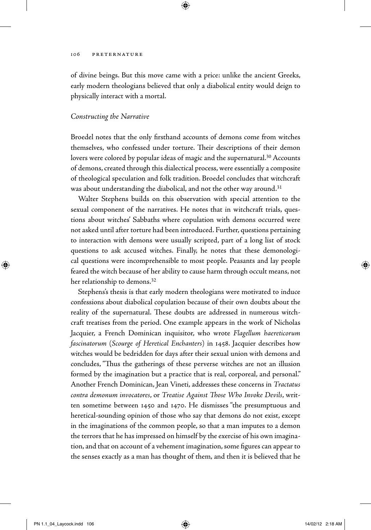of divine beings. But this move came with a price: unlike the ancient Greeks, early modern theologians believed that only a diabolical entity would deign to physically interact with a mortal.

#### *Constructing the Narrative*

Broedel notes that the only firsthand accounts of demons come from witches themselves, who confessed under torture. Their descriptions of their demon lovers were colored by popular ideas of magic and the supernatural.<sup>30</sup> Accounts of demons, created through this dialectical process, were essentially a composite of theological speculation and folk tradition. Broedel concludes that witchcraft was about understanding the diabolical, and not the other way around.<sup>31</sup>

Walter Stephens builds on this observation with special attention to the sexual component of the narratives. He notes that in witchcraft trials, questions about witches' Sabbaths where copulation with demons occurred were not asked until after torture had been introduced. Further, questions pertaining to interaction with demons were usually scripted, part of a long list of stock questions to ask accused witches. Finally, he notes that these demonological questions were incomprehensible to most people. Peasants and lay people feared the witch because of her ability to cause harm through occult means, not her relationship to demons.32

Stephens's thesis is that early modern theologians were motivated to induce confessions about diabolical copulation because of their own doubts about the reality of the supernatural. These doubts are addressed in numerous witchcraft treatises from the period. One example appears in the work of Nicholas Jacquier, a French Dominican inquisitor, who wrote *Flagellum haereticorum fascinatorum* (*Scourge of Heretical Enchanters*) in 1458. Jacquier describes how witches would be bedridden for days after their sexual union with demons and concludes, "Thus the gatherings of these perverse witches are not an illusion formed by the imagination but a practice that is real, corporeal, and personal." Another French Dominican, Jean Vineti, addresses these concerns in *Tractatus contra demonum invocatores*, or *Treatise Against Those Who Invoke Devils*, written sometime between 1450 and 1470. He dismisses "the presumptuous and heretical-sounding opinion of those who say that demons do not exist, except in the imaginations of the common people, so that a man imputes to a demon the terrors that he has impressed on himself by the exercise of his own imagination, and that on account of a vehement imagination, some figures can appear to the senses exactly as a man has thought of them, and then it is believed that he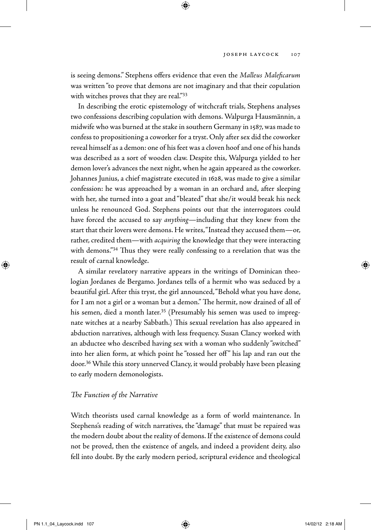is seeing demons." Stephens offers evidence that even the *Malleus Maleficarum* was written "to prove that demons are not imaginary and that their copulation with witches proves that they are real."<sup>33</sup>

In describing the erotic epistemology of witchcraft trials, Stephens analyses two confessions describing copulation with demons. Walpurga Hausmännin, a midwife who was burned at the stake in southern Germany in 1587, was made to confess to propositioning a coworker for a tryst. Only after sex did the coworker reveal himself as a demon: one of his feet was a cloven hoof and one of his hands was described as a sort of wooden claw. Despite this, Walpurga yielded to her demon lover's advances the next night, when he again appeared as the coworker. Johannes Junius, a chief magistrate executed in 1628, was made to give a similar confession: he was approached by a woman in an orchard and, after sleeping with her, she turned into a goat and "bleated" that she/it would break his neck unless he renounced God. Stephens points out that the interrogators could have forced the accused to say *anything*—including that they knew from the start that their lovers were demons. He writes, "Instead they accused them—or, rather, credited them—with *acquiring* the knowledge that they were interacting with demons."34 Thus they were really confessing to a revelation that was the result of carnal knowledge.

A similar revelatory narrative appears in the writings of Dominican theologian Jordanes de Bergamo. Jordanes tells of a hermit who was seduced by a beautiful girl. After this tryst, the girl announced, "Behold what you have done, for I am not a girl or a woman but a demon." The hermit, now drained of all of his semen, died a month later.<sup>35</sup> (Presumably his semen was used to impregnate witches at a nearby Sabbath.) This sexual revelation has also appeared in abduction narratives, although with less frequency. Susan Clancy worked with an abductee who described having sex with a woman who suddenly "switched" into her alien form, at which point he "tossed her off " his lap and ran out the door.36 While this story unnerved Clancy, it would probably have been pleasing to early modern demonologists.

### *The Function of the Narrative*

Witch theorists used carnal knowledge as a form of world maintenance. In Stephens's reading of witch narratives, the "damage" that must be repaired was the modern doubt about the reality of demons. If the existence of demons could not be proved, then the existence of angels, and indeed a provident deity, also fell into doubt. By the early modern period, scriptural evidence and theological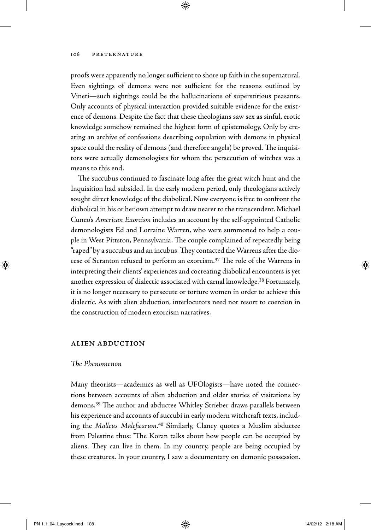proofs were apparently no longer sufficient to shore up faith in the supernatural. Even sightings of demons were not sufficient for the reasons outlined by Vineti—such sightings could be the hallucinations of superstitious peasants. Only accounts of physical interaction provided suitable evidence for the existence of demons. Despite the fact that these theologians saw sex as sinful, erotic knowledge somehow remained the highest form of epistemology. Only by creating an archive of confessions describing copulation with demons in physical space could the reality of demons (and therefore angels) be proved. The inquisitors were actually demonologists for whom the persecution of witches was a means to this end.

The succubus continued to fascinate long after the great witch hunt and the Inquisition had subsided. In the early modern period, only theologians actively sought direct knowledge of the diabolical. Now everyone is free to confront the diabolical in his or her own attempt to draw nearer to the transcendent. Michael Cuneo's *American Exorcism* includes an account by the self-appointed Catholic demonologists Ed and Lorraine Warren, who were summoned to help a couple in West Pittston, Pennsylvania. The couple complained of repeatedly being "raped" by a succubus and an incubus. They contacted the Warrens after the diocese of Scranton refused to perform an exorcism.37 The role of the Warrens in interpreting their clients' experiences and cocreating diabolical encounters is yet another expression of dialectic associated with carnal knowledge.38 Fortunately, it is no longer necessary to persecute or torture women in order to achieve this dialectic. As with alien abduction, interlocutors need not resort to coercion in the construction of modern exorcism narratives.

#### alien abduction

#### *The Phenomenon*

Many theorists—academics as well as UFOlogists—have noted the connections between accounts of alien abduction and older stories of visitations by demons.39 The author and abductee Whitley Strieber draws parallels between his experience and accounts of succubi in early modern witchcraft texts, including the *Malleus Maleficarum*. 40 Similarly, Clancy quotes a Muslim abductee from Palestine thus: "The Koran talks about how people can be occupied by aliens. They can live in them. In my country, people are being occupied by these creatures. In your country, I saw a documentary on demonic possession.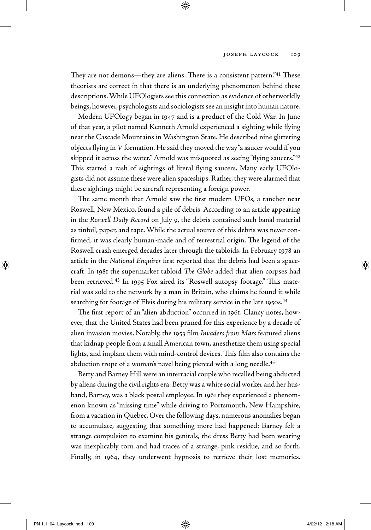They are not demons—they are aliens. There is a consistent pattern."<sup>41</sup> These theorists are correct in that there is an underlying phenomenon behind these descriptions. While UFOlogists see this connection as evidence of otherworldly beings, however, psychologists and sociologists see an insight into human nature.

Modern UFOlogy began in 1947 and is a product of the Cold War. In June of that year, a pilot named Kenneth Arnold experienced a sighting while flying near the Cascade Mountains in Washington State. He described nine glittering objects flying in *V* formation. He said they moved the way "a saucer would if you skipped it across the water." Arnold was misquoted as seeing "flying saucers."42 This started a rash of sightings of literal flying saucers. Many early UFOlogists did not assume these were alien spaceships. Rather, they were alarmed that these sightings might be aircraft representing a foreign power.

The same month that Arnold saw the first modern UFOs, a rancher near Roswell, New Mexico, found a pile of debris. According to an article appearing in the *Roswell Daily Record* on July 9, the debris contained such banal material as tinfoil, paper, and tape. While the actual source of this debris was never confirmed, it was clearly human-made and of terrestrial origin. The legend of the Roswell crash emerged decades later through the tabloids. In February 1978 an article in the *National Enquirer* first reported that the debris had been a spacecraft. In 1981 the supermarket tabloid *The Globe* added that alien corpses had been retrieved.43 In 1995 Fox aired its "Roswell autopsy footage." This material was sold to the network by a man in Britain, who claims he found it while searching for footage of Elvis during his military service in the late 1950s.<sup>44</sup>

The first report of an "alien abduction" occurred in 1961. Clancy notes, however, that the United States had been primed for this experience by a decade of alien invasion movies. Notably, the 1953 film *Invaders from Mars* featured aliens that kidnap people from a small American town, anesthetize them using special lights, and implant them with mind-control devices. This film also contains the abduction trope of a woman's navel being pierced with a long needle.<sup>45</sup>

Betty and Barney Hill were an interracial couple who recalled being abducted by aliens during the civil rights era. Betty was a white social worker and her husband, Barney, was a black postal employee. In 1961 they experienced a phenomenon known as "missing time" while driving to Portsmouth, New Hampshire, from a vacation in Quebec. Over the following days, numerous anomalies began to accumulate, suggesting that something more had happened: Barney felt a strange compulsion to examine his genitals, the dress Betty had been wearing was inexplicably torn and had traces of a strange, pink residue, and so forth. Finally, in 1964, they underwent hypnosis to retrieve their lost memories.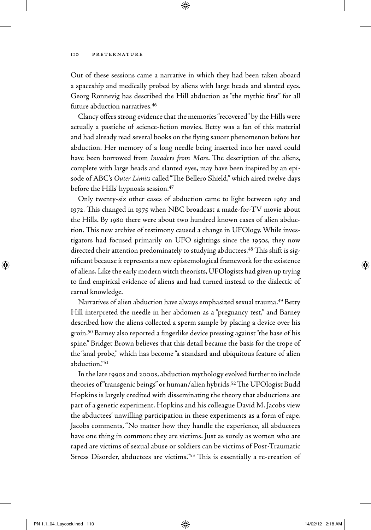Out of these sessions came a narrative in which they had been taken aboard a spaceship and medically probed by aliens with large heads and slanted eyes. Georg Ronnevig has described the Hill abduction as "the mythic first" for all future abduction narratives.46

Clancy offers strong evidence that the memories "recovered" by the Hills were actually a pastiche of science-fiction movies. Betty was a fan of this material and had already read several books on the flying saucer phenomenon before her abduction. Her memory of a long needle being inserted into her navel could have been borrowed from *Invaders from Mars*. The description of the aliens, complete with large heads and slanted eyes, may have been inspired by an episode of ABC's *Outer Limits* called "The Bellero Shield," which aired twelve days before the Hills' hypnosis session.<sup>47</sup>

Only twenty-six other cases of abduction came to light between 1967 and 1972. This changed in 1975 when NBC broadcast a made-for-TV movie about the Hills. By 1980 there were about two hundred known cases of alien abduction. This new archive of testimony caused a change in UFOlogy. While investigators had focused primarily on UFO sightings since the 1950s, they now directed their attention predominately to studying abductees.48 This shift is significant because it represents a new epistemological framework for the existence of aliens. Like the early modern witch theorists, UFOlogists had given up trying to find empirical evidence of aliens and had turned instead to the dialectic of carnal knowledge.

Narratives of alien abduction have always emphasized sexual trauma.49 Betty Hill interpreted the needle in her abdomen as a "pregnancy test," and Barney described how the aliens collected a sperm sample by placing a device over his groin.50 Barney also reported a fingerlike device pressing against "the base of his spine." Bridget Brown believes that this detail became the basis for the trope of the "anal probe," which has become "a standard and ubiquitous feature of alien abduction."51

In the late 1990s and 2000s, abduction mythology evolved further to include theories of "transgenic beings" or human/alien hybrids.52 The UFOlogist Budd Hopkins is largely credited with disseminating the theory that abductions are part of a genetic experiment. Hopkins and his colleague David M. Jacobs view the abductees' unwilling participation in these experiments as a form of rape. Jacobs comments, "No matter how they handle the experience, all abductees have one thing in common: they are victims. Just as surely as women who are raped are victims of sexual abuse or soldiers can be victims of Post-Traumatic Stress Disorder, abductees are victims."53 This is essentially a re-creation of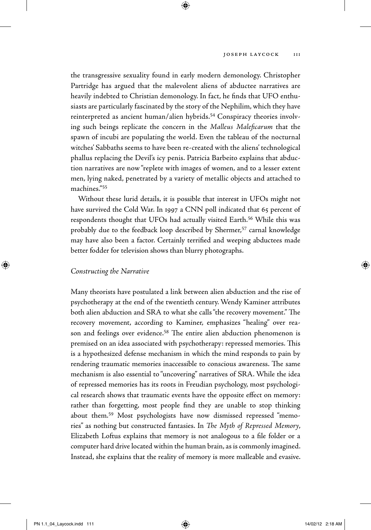the transgressive sexuality found in early modern demonology. Christopher Partridge has argued that the malevolent aliens of abductee narratives are heavily indebted to Christian demonology. In fact, he finds that UFO enthusiasts are particularly fascinated by the story of the Nephilim, which they have reinterpreted as ancient human/alien hybrids.<sup>54</sup> Conspiracy theories involving such beings replicate the concern in the *Malleus Maleficarum* that the spawn of incubi are populating the world. Even the tableau of the nocturnal witches' Sabbaths seems to have been re-created with the aliens' technological phallus replacing the Devil's icy penis. Patricia Barbeito explains that abduction narratives are now "replete with images of women, and to a lesser extent men, lying naked, penetrated by a variety of metallic objects and attached to machines."55

Without these lurid details, it is possible that interest in UFOs might not have survived the Cold War. In 1997 a CNN poll indicated that 65 percent of respondents thought that UFOs had actually visited Earth.<sup>56</sup> While this was probably due to the feedback loop described by Shermer,<sup>57</sup> carnal knowledge may have also been a factor. Certainly terrified and weeping abductees made better fodder for television shows than blurry photographs.

#### *Constructing the Narrative*

Many theorists have postulated a link between alien abduction and the rise of psychotherapy at the end of the twentieth century. Wendy Kaminer attributes both alien abduction and SRA to what she calls "the recovery movement." The recovery movement, according to Kaminer, emphasizes "healing" over reason and feelings over evidence.<sup>58</sup> The entire alien abduction phenomenon is premised on an idea associated with psychotherapy: repressed memories. This is a hypothesized defense mechanism in which the mind responds to pain by rendering traumatic memories inaccessible to conscious awareness. The same mechanism is also essential to "uncovering" narratives of SRA. While the idea of repressed memories has its roots in Freudian psychology, most psychological research shows that traumatic events have the opposite effect on memory: rather than forgetting, most people find they are unable to stop thinking about them.59 Most psychologists have now dismissed repressed "memories" as nothing but constructed fantasies. In *The Myth of Repressed Memory*, Elizabeth Loftus explains that memory is not analogous to a file folder or a computer hard drive located within the human brain, as is commonly imagined. Instead, she explains that the reality of memory is more malleable and evasive.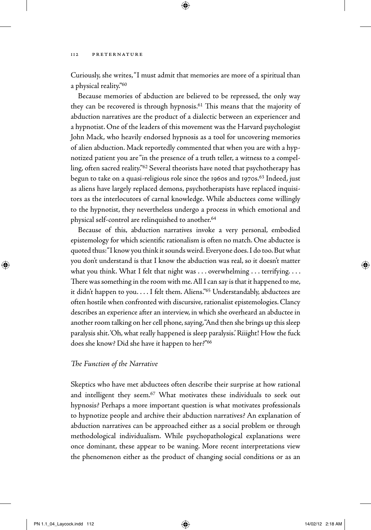Curiously, she writes, "I must admit that memories are more of a spiritual than a physical reality."60

Because memories of abduction are believed to be repressed, the only way they can be recovered is through hypnosis.<sup>61</sup> This means that the majority of abduction narratives are the product of a dialectic between an experiencer and a hypnotist. One of the leaders of this movement was the Harvard psychologist John Mack, who heavily endorsed hypnosis as a tool for uncovering memories of alien abduction. Mack reportedly commented that when you are with a hypnotized patient you are "in the presence of a truth teller, a witness to a compelling, often sacred reality."62 Several theorists have noted that psychotherapy has begun to take on a quasi-religious role since the 1960s and 1970s.<sup>63</sup> Indeed, just as aliens have largely replaced demons, psychotherapists have replaced inquisitors as the interlocutors of carnal knowledge. While abductees come willingly to the hypnotist, they nevertheless undergo a process in which emotional and physical self-control are relinquished to another.64

Because of this, abduction narratives invoke a very personal, embodied epistemology for which scientific rationalism is often no match. One abductee is quoted thus: "I know you think it sounds weird. Everyone does. I do too. But what you don't understand is that I know the abduction was real, so it doesn't matter what you think. What I felt that night was . . . overwhelming . . . terrifying. . . . There was something in the room with me. All I can say is that it happened to me, it didn't happen to you. . . . I felt them. Aliens."65 Understandably, abductees are often hostile when confronted with discursive, rationalist epistemologies. Clancy describes an experience after an interview, in which she overheard an abductee in another room talking on her cell phone, saying, "And then she brings up this sleep paralysis shit. 'Oh, what really happened is sleep paralysis.' Riiight! How the fuck does she know? Did she have it happen to her?"66

#### *The Function of the Narrative*

Skeptics who have met abductees often describe their surprise at how rational and intelligent they seem.<sup>67</sup> What motivates these individuals to seek out hypnosis? Perhaps a more important question is what motivates professionals to hypnotize people and archive their abduction narratives? An explanation of abduction narratives can be approached either as a social problem or through methodological individualism. While psychopathological explanations were once dominant, these appear to be waning. More recent interpretations view the phenomenon either as the product of changing social conditions or as an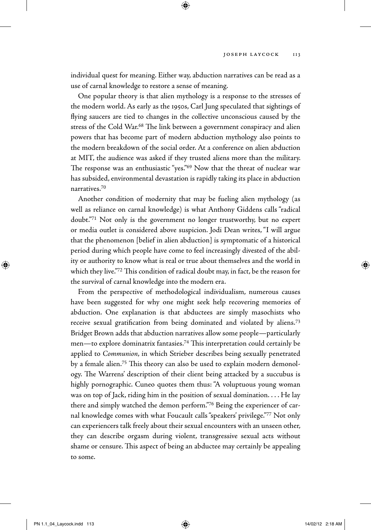individual quest for meaning. Either way, abduction narratives can be read as a use of carnal knowledge to restore a sense of meaning.

One popular theory is that alien mythology is a response to the stresses of the modern world. As early as the 1950s, Carl Jung speculated that sightings of flying saucers are tied to changes in the collective unconscious caused by the stress of the Cold War.<sup>68</sup> The link between a government conspiracy and alien powers that has become part of modern abduction mythology also points to the modern breakdown of the social order. At a conference on alien abduction at MIT, the audience was asked if they trusted aliens more than the military. The response was an enthusiastic "yes."69 Now that the threat of nuclear war has subsided, environmental devastation is rapidly taking its place in abduction narratives.70

Another condition of modernity that may be fueling alien mythology (as well as reliance on carnal knowledge) is what Anthony Giddens calls "radical doubt."71 Not only is the government no longer trustworthy, but no expert or media outlet is considered above suspicion. Jodi Dean writes, "I will argue that the phenomenon [belief in alien abduction] is symptomatic of a historical period during which people have come to feel increasingly divested of the ability or authority to know what is real or true about themselves and the world in which they live."72 This condition of radical doubt may, in fact, be the reason for the survival of carnal knowledge into the modern era.

From the perspective of methodological individualism, numerous causes have been suggested for why one might seek help recovering memories of abduction. One explanation is that abductees are simply masochists who receive sexual gratification from being dominated and violated by aliens.73 Bridget Brown adds that abduction narratives allow some people—particularly men—to explore dominatrix fantasies.74 This interpretation could certainly be applied to *Communion*, in which Strieber describes being sexually penetrated by a female alien.75 This theory can also be used to explain modern demonology. The Warrens' description of their client being attacked by a succubus is highly pornographic. Cuneo quotes them thus: "A voluptuous young woman was on top of Jack, riding him in the position of sexual domination. . . . He lay there and simply watched the demon perform."76 Being the experiencer of carnal knowledge comes with what Foucault calls "speakers' privilege."77 Not only can experiencers talk freely about their sexual encounters with an unseen other, they can describe orgasm during violent, transgressive sexual acts without shame or censure. This aspect of being an abductee may certainly be appealing to some.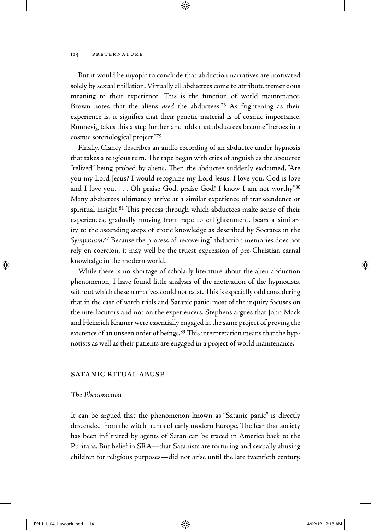But it would be myopic to conclude that abduction narratives are motivated solely by sexual titillation. Virtually all abductees come to attribute tremendous meaning to their experience. This is the function of world maintenance. Brown notes that the aliens *need* the abductees.78 As frightening as their experience is, it signifies that their genetic material is of cosmic importance. Ronnevig takes this a step further and adds that abductees become "heroes in a cosmic soteriological project."79

Finally, Clancy describes an audio recording of an abductee under hypnosis that takes a religious turn. The tape began with cries of anguish as the abductee "relived" being probed by aliens. Then the abductee suddenly exclaimed, "Are you my Lord Jesus? I would recognize my Lord Jesus. I love you. God is love and I love you.  $\ldots$  Oh praise God, praise God! I know I am not worthy."80 Many abductees ultimately arrive at a similar experience of transcendence or spiritual insight.<sup>81</sup> This process through which abductees make sense of their experiences, gradually moving from rape to enlightenment, bears a similarity to the ascending steps of erotic knowledge as described by Socrates in the *Symposium*. 82 Because the process of "recovering" abduction memories does not rely on coercion, it may well be the truest expression of pre-Christian carnal knowledge in the modern world.

While there is no shortage of scholarly literature about the alien abduction phenomenon, I have found little analysis of the motivation of the hypnotists, without which these narratives could not exist. This is especially odd considering that in the case of witch trials and Satanic panic, most of the inquiry focuses on the interlocutors and not on the experiencers. Stephens argues that John Mack and Heinrich Kramer were essentially engaged in the same project of proving the existence of an unseen order of beings.<sup>83</sup> This interpretation means that the hypnotists as well as their patients are engaged in a project of world maintenance.

#### satanic ritual abuse

#### *The Phenomenon*

It can be argued that the phenomenon known as "Satanic panic" is directly descended from the witch hunts of early modern Europe. The fear that society has been infiltrated by agents of Satan can be traced in America back to the Puritans. But belief in SRA—that Satanists are torturing and sexually abusing children for religious purposes—did not arise until the late twentieth century.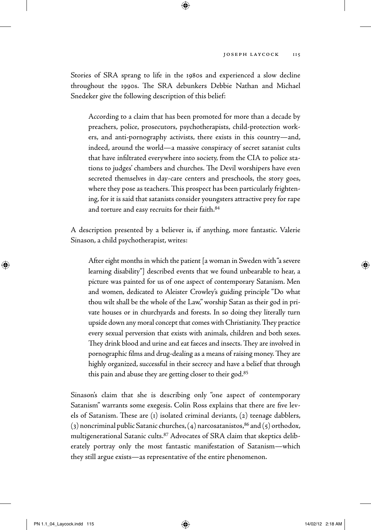Stories of SRA sprang to life in the 1980s and experienced a slow decline throughout the 1990s. The SRA debunkers Debbie Nathan and Michael Snedeker give the following description of this belief:

According to a claim that has been promoted for more than a decade by preachers, police, prosecutors, psychotherapists, child-protection workers, and anti-pornography activists, there exists in this country—and, indeed, around the world—a massive conspiracy of secret satanist cults that have infiltrated everywhere into society, from the CIA to police stations to judges' chambers and churches. The Devil worshipers have even secreted themselves in day-care centers and preschools, the story goes, where they pose as teachers. This prospect has been particularly frightening, for it is said that satanists consider youngsters attractive prey for rape and torture and easy recruits for their faith.84

A description presented by a believer is, if anything, more fantastic. Valerie Sinason, a child psychotherapist, writes:

After eight months in which the patient [a woman in Sweden with "a severe learning disability"] described events that we found unbearable to hear, a picture was painted for us of one aspect of contemporary Satanism. Men and women, dedicated to Aleister Crowley's guiding principle "Do what thou wilt shall be the whole of the Law," worship Satan as their god in private houses or in churchyards and forests. In so doing they literally turn upside down any moral concept that comes with Christianity. They practice every sexual perversion that exists with animals, children and both sexes. They drink blood and urine and eat faeces and insects. They are involved in pornographic films and drug-dealing as a means of raising money. They are highly organized, successful in their secrecy and have a belief that through this pain and abuse they are getting closer to their god.<sup>85</sup>

Sinason's claim that she is describing only "one aspect of contemporary Satanism" warrants some exegesis. Colin Ross explains that there are five levels of Satanism. These are (1) isolated criminal deviants, (2) teenage dabblers, (3) noncriminal public Satanic churches, (4) narcosatanistos,  $86$  and (5) orthodox, multigenerational Satanic cults.<sup>87</sup> Advocates of SRA claim that skeptics deliberately portray only the most fantastic manifestation of Satanism—which they still argue exists—as representative of the entire phenomenon.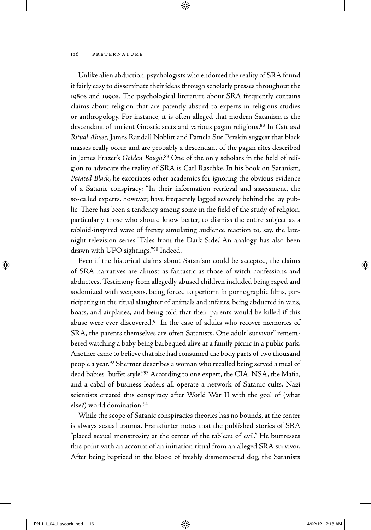Unlike alien abduction, psychologists who endorsed the reality of SRA found it fairly easy to disseminate their ideas through scholarly presses throughout the 1980s and 1990s. The psychological literature about SRA frequently contains claims about religion that are patently absurd to experts in religious studies or anthropology. For instance, it is often alleged that modern Satanism is the descendant of ancient Gnostic sects and various pagan religions.88 In *Cult and Ritual Abuse*, James Randall Noblitt and Pamela Sue Perskin suggest that black masses really occur and are probably a descendant of the pagan rites described in James Frazer's *Golden Bough*. 89 One of the only scholars in the field of religion to advocate the reality of SRA is Carl Raschke. In his book on Satanism, *Painted Black*, he excoriates other academics for ignoring the obvious evidence of a Satanic conspiracy: "In their information retrieval and assessment, the so-called experts, however, have frequently lagged severely behind the lay public. There has been a tendency among some in the field of the study of religion, particularly those who should know better, to dismiss the entire subject as a tabloid-inspired wave of frenzy simulating audience reaction to, say, the latenight television series 'Tales from the Dark Side.' An analogy has also been drawn with UFO sightings."90 Indeed.

Even if the historical claims about Satanism could be accepted, the claims of SRA narratives are almost as fantastic as those of witch confessions and abductees. Testimony from allegedly abused children included being raped and sodomized with weapons, being forced to perform in pornographic films, participating in the ritual slaughter of animals and infants, being abducted in vans, boats, and airplanes, and being told that their parents would be killed if this abuse were ever discovered.<sup>91</sup> In the case of adults who recover memories of SRA, the parents themselves are often Satanists. One adult "survivor" remembered watching a baby being barbequed alive at a family picnic in a public park. Another came to believe that she had consumed the body parts of two thousand people a year.92 Shermer describes a woman who recalled being served a meal of dead babies "buffet style."93 According to one expert, the CIA, NSA, the Mafia, and a cabal of business leaders all operate a network of Satanic cults. Nazi scientists created this conspiracy after World War II with the goal of (what else?) world domination.94

While the scope of Satanic conspiracies theories has no bounds, at the center is always sexual trauma. Frankfurter notes that the published stories of SRA "placed sexual monstrosity at the center of the tableau of evil." He buttresses this point with an account of an initiation ritual from an alleged SRA survivor. After being baptized in the blood of freshly dismembered dog, the Satanists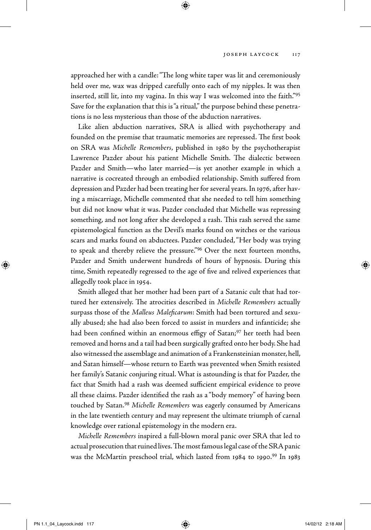approached her with a candle: "The long white taper was lit and ceremoniously held over me, wax was dripped carefully onto each of my nipples. It was then inserted, still lit, into my vagina. In this way I was welcomed into the faith."95 Save for the explanation that this is "a ritual," the purpose behind these penetrations is no less mysterious than those of the abduction narratives.

Like alien abduction narratives, SRA is allied with psychotherapy and founded on the premise that traumatic memories are repressed. The first book on SRA was *Michelle Remembers*, published in 1980 by the psychotherapist Lawrence Pazder about his patient Michelle Smith. The dialectic between Pazder and Smith—who later married—is yet another example in which a narrative is cocreated through an embodied relationship. Smith suffered from depression and Pazder had been treating her for several years. In 1976, after having a miscarriage, Michelle commented that she needed to tell him something but did not know what it was. Pazder concluded that Michelle was repressing something, and not long after she developed a rash. This rash served the same epistemological function as the Devil's marks found on witches or the various scars and marks found on abductees. Pazder concluded, "Her body was trying to speak and thereby relieve the pressure."96 Over the next fourteen months, Pazder and Smith underwent hundreds of hours of hypnosis. During this time, Smith repeatedly regressed to the age of five and relived experiences that allegedly took place in 1954.

Smith alleged that her mother had been part of a Satanic cult that had tortured her extensively. The atrocities described in *Michelle Remembers* actually surpass those of the *Malleus Maleficarum*: Smith had been tortured and sexually abused; she had also been forced to assist in murders and infanticide; she had been confined within an enormous effigy of Satan;<sup>97</sup> her teeth had been removed and horns and a tail had been surgically grafted onto her body. She had also witnessed the assemblage and animation of a Frankensteinian monster, hell, and Satan himself—whose return to Earth was prevented when Smith resisted her family's Satanic conjuring ritual. What is astounding is that for Pazder, the fact that Smith had a rash was deemed sufficient empirical evidence to prove all these claims. Pazder identified the rash as a "body memory" of having been touched by Satan.98 *Michelle Remembers* was eagerly consumed by Americans in the late twentieth century and may represent the ultimate triumph of carnal knowledge over rational epistemology in the modern era.

*Michelle Remembers* inspired a full-blown moral panic over SRA that led to actual prosecution that ruined lives. The most famous legal case of the SRA panic was the McMartin preschool trial, which lasted from 1984 to 1990.<sup>99</sup> In 1983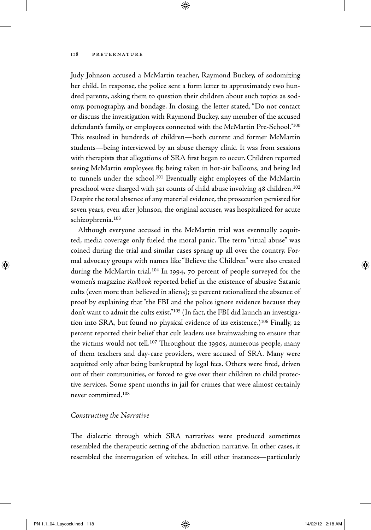Judy Johnson accused a McMartin teacher, Raymond Buckey, of sodomizing her child. In response, the police sent a form letter to approximately two hundred parents, asking them to question their children about such topics as sodomy, pornography, and bondage. In closing, the letter stated, "Do not contact or discuss the investigation with Raymond Buckey, any member of the accused defendant's family, or employees connected with the McMartin Pre-School."100 This resulted in hundreds of children—both current and former McMartin students—being interviewed by an abuse therapy clinic. It was from sessions with therapists that allegations of SRA first began to occur. Children reported seeing McMartin employees fly, being taken in hot-air balloons, and being led to tunnels under the school.101 Eventually eight employees of the McMartin preschool were charged with 321 counts of child abuse involving 48 children.102 Despite the total absence of any material evidence, the prosecution persisted for seven years, even after Johnson, the original accuser, was hospitalized for acute schizophrenia.103

Although everyone accused in the McMartin trial was eventually acquitted, media coverage only fueled the moral panic. The term "ritual abuse" was coined during the trial and similar cases sprang up all over the country. Formal advocacy groups with names like "Believe the Children" were also created during the McMartin trial.<sup>104</sup> In 1994, 70 percent of people surveyed for the women's magazine *Redbook* reported belief in the existence of abusive Satanic cults (even more than believed in aliens); 32 percent rationalized the absence of proof by explaining that "the FBI and the police ignore evidence because they don't want to admit the cults exist."105 (In fact, the FBI did launch an investigation into SRA, but found no physical evidence of its existence.)106 Finally, 22 percent reported their belief that cult leaders use brainwashing to ensure that the victims would not tell.<sup>107</sup> Throughout the 1990s, numerous people, many of them teachers and day-care providers, were accused of SRA. Many were acquitted only after being bankrupted by legal fees. Others were fired, driven out of their communities, or forced to give over their children to child protective services. Some spent months in jail for crimes that were almost certainly never committed.108

#### *Constructing the Narrative*

The dialectic through which SRA narratives were produced sometimes resembled the therapeutic setting of the abduction narrative. In other cases, it resembled the interrogation of witches. In still other instances—particularly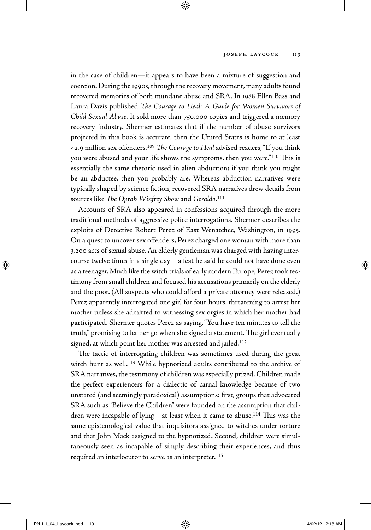in the case of children—it appears to have been a mixture of suggestion and coercion. During the 1990s, through the recovery movement, many adults found recovered memories of both mundane abuse and SRA. In 1988 Ellen Bass and Laura Davis published *The Courage to Heal: A Guide for Women Survivors of Child Sexual Abuse*. It sold more than 750,000 copies and triggered a memory recovery industry. Shermer estimates that if the number of abuse survivors projected in this book is accurate, then the United States is home to at least 42.9 million sex offenders.109 *The Courage to Heal* advised readers, "If you think you were abused and your life shows the symptoms, then you were."110 This is essentially the same rhetoric used in alien abduction: if you think you might be an abductee, then you probably are. Whereas abduction narratives were typically shaped by science fiction, recovered SRA narratives drew details from sources like *The Oprah Winfrey Show* and *Geraldo*. 111

Accounts of SRA also appeared in confessions acquired through the more traditional methods of aggressive police interrogations. Shermer describes the exploits of Detective Robert Perez of East Wenatchee, Washington, in 1995. On a quest to uncover sex offenders, Perez charged one woman with more than 3,200 acts of sexual abuse. An elderly gentleman was charged with having intercourse twelve times in a single day—a feat he said he could not have done even as a teenager. Much like the witch trials of early modern Europe, Perez took testimony from small children and focused his accusations primarily on the elderly and the poor. (All suspects who could afford a private attorney were released.) Perez apparently interrogated one girl for four hours, threatening to arrest her mother unless she admitted to witnessing sex orgies in which her mother had participated. Shermer quotes Perez as saying, "You have ten minutes to tell the truth," promising to let her go when she signed a statement. The girl eventually signed, at which point her mother was arrested and jailed.<sup>112</sup>

The tactic of interrogating children was sometimes used during the great witch hunt as well.<sup>113</sup> While hypnotized adults contributed to the archive of SRA narratives, the testimony of children was especially prized. Children made the perfect experiencers for a dialectic of carnal knowledge because of two unstated (and seemingly paradoxical) assumptions: first, groups that advocated SRA such as "Believe the Children" were founded on the assumption that children were incapable of lying—at least when it came to abuse.114 This was the same epistemological value that inquisitors assigned to witches under torture and that John Mack assigned to the hypnotized. Second, children were simultaneously seen as incapable of simply describing their experiences, and thus required an interlocutor to serve as an interpreter.<sup>115</sup>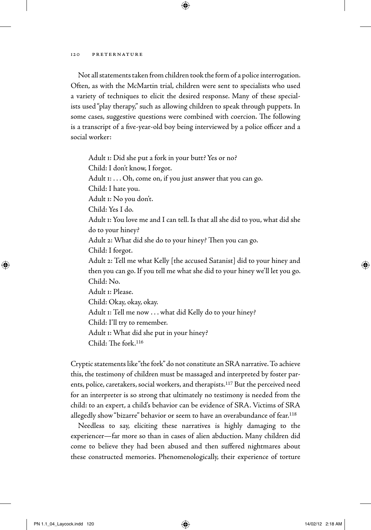Not all statements taken from children took the form of a police interrogation. Often, as with the McMartin trial, children were sent to specialists who used a variety of techniques to elicit the desired response. Many of these specialists used "play therapy," such as allowing children to speak through puppets. In some cases, suggestive questions were combined with coercion. The following is a transcript of a five-year-old boy being interviewed by a police officer and a social worker:

Adult 1: Did she put a fork in your butt? Yes or no? Child: I don't know, I forgot. Adult  $1: \ldots$  Oh, come on, if you just answer that you can go. Child: I hate you. Adult 1: No you don't. Child: Yes I do. Adult 1: You love me and I can tell. Is that all she did to you, what did she do to your hiney? Adult 2: What did she do to your hiney? Then you can go. Child: I forgot. Adult 2: Tell me what Kelly [the accused Satanist] did to your hiney and then you can go. If you tell me what she did to your hiney we'll let you go. Child: No. Adult 1: Please. Child: Okay, okay, okay. Adult 1: Tell me now . . . what did Kelly do to your hiney? Child: I'll try to remember. Adult 1: What did she put in your hiney? Child: The fork.116

Cryptic statements like "the fork" do not constitute an SRA narrative. To achieve this, the testimony of children must be massaged and interpreted by foster parents, police, caretakers, social workers, and therapists.117 But the perceived need for an interpreter is so strong that ultimately no testimony is needed from the child: to an expert, a child's behavior can be evidence of SRA. Victims of SRA allegedly show "bizarre" behavior or seem to have an overabundance of fear.<sup>118</sup>

Needless to say, eliciting these narratives is highly damaging to the experiencer—far more so than in cases of alien abduction. Many children did come to believe they had been abused and then suffered nightmares about these constructed memories. Phenomenologically, their experience of torture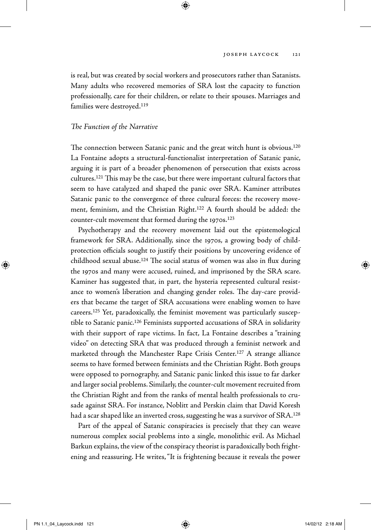is real, but was created by social workers and prosecutors rather than Satanists. Many adults who recovered memories of SRA lost the capacity to function professionally, care for their children, or relate to their spouses. Marriages and families were destroyed.119

#### *The Function of the Narrative*

The connection between Satanic panic and the great witch hunt is obvious.<sup>120</sup> La Fontaine adopts a structural-functionalist interpretation of Satanic panic, arguing it is part of a broader phenomenon of persecution that exists across cultures.121 This may be the case, but there were important cultural factors that seem to have catalyzed and shaped the panic over SRA. Kaminer attributes Satanic panic to the convergence of three cultural forces: the recovery movement, feminism, and the Christian Right.122 A fourth should be added: the counter-cult movement that formed during the 1970s.123

Psychotherapy and the recovery movement laid out the epistemological framework for SRA. Additionally, since the 1970s, a growing body of childprotection officials sought to justify their positions by uncovering evidence of childhood sexual abuse.124 The social status of women was also in flux during the 1970s and many were accused, ruined, and imprisoned by the SRA scare. Kaminer has suggested that, in part, the hysteria represented cultural resistance to women's liberation and changing gender roles. The day-care providers that became the target of SRA accusations were enabling women to have careers.125 Yet, paradoxically, the feminist movement was particularly susceptible to Satanic panic.126 Feminists supported accusations of SRA in solidarity with their support of rape victims. In fact, La Fontaine describes a "training video" on detecting SRA that was produced through a feminist network and marketed through the Manchester Rape Crisis Center.127 A strange alliance seems to have formed between feminists and the Christian Right. Both groups were opposed to pornography, and Satanic panic linked this issue to far darker and larger social problems. Similarly, the counter-cult movement recruited from the Christian Right and from the ranks of mental health professionals to crusade against SRA. For instance, Noblitt and Perskin claim that David Koresh had a scar shaped like an inverted cross, suggesting he was a survivor of SRA.128

Part of the appeal of Satanic conspiracies is precisely that they can weave numerous complex social problems into a single, monolithic evil. As Michael Barkun explains, the view of the conspiracy theorist is paradoxically both frightening and reassuring. He writes, "It is frightening because it reveals the power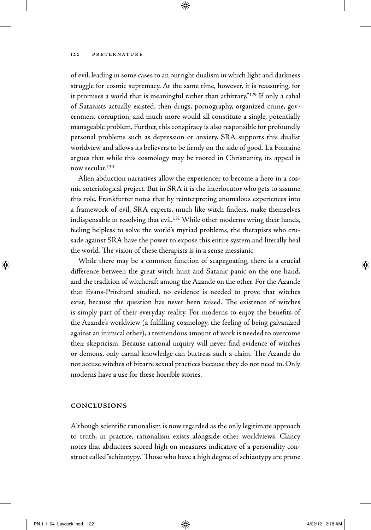of evil, leading in some cases to an outright dualism in which light and darkness struggle for cosmic supremacy. At the same time, however, it is reassuring, for it promises a world that is meaningful rather than arbitrary."<sup>129</sup> If only a cabal of Satanists actually existed, then drugs, pornography, organized crime, government corruption, and much more would all constitute a single, potentially manageable problem. Further, this conspiracy is also responsible for profoundly personal problems such as depression or anxiety. SRA supports this dualist worldview and allows its believers to be firmly on the side of good. La Fontaine argues that while this cosmology may be rooted in Christianity, its appeal is now secular.130

Alien abduction narratives allow the experiencer to become a hero in a cosmic soteriological project. But in SRA it is the interlocutor who gets to assume this role. Frankfurter notes that by reinterpreting anomalous experiences into a framework of evil, SRA experts, much like witch finders, make themselves indispensable in resolving that evil.<sup>131</sup> While other moderns wring their hands, feeling helpless to solve the world's myriad problems, the therapists who crusade against SRA have the power to expose this entire system and literally heal the world. The vision of these therapists is in a sense messianic.

While there may be a common function of scapegoating, there is a crucial difference between the great witch hunt and Satanic panic on the one hand, and the tradition of witchcraft among the Azande on the other. For the Azande that Evans-Pritchard studied, no evidence is needed to prove that witches exist, because the question has never been raised. The existence of witches is simply part of their everyday reality. For moderns to enjoy the benefits of the Azande's worldview (a fulfilling cosmology, the feeling of being galvanized against an inimical other), a tremendous amount of work is needed to overcome their skepticism. Because rational inquiry will never find evidence of witches or demons, only carnal knowledge can buttress such a claim. The Azande do not accuse witches of bizarre sexual practices because they do not need to. Only moderns have a use for these horrible stories.

#### conclusions

Although scientific rationalism is now regarded as the only legitimate approach to truth, in practice, rationalism exists alongside other worldviews. Clancy notes that abductees scored high on measures indicative of a personality construct called "schizotypy." Those who have a high degree of schizotypy are prone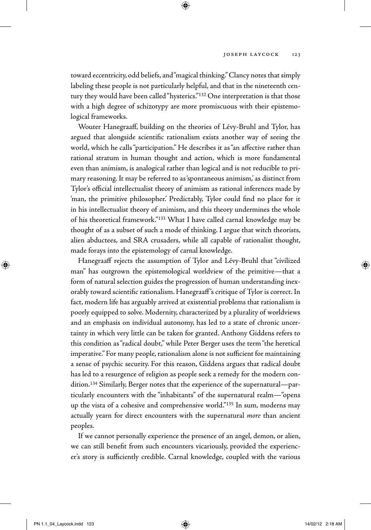toward eccentricity, odd beliefs, and "magical thinking." Clancy notes that simply labeling these people is not particularly helpful, and that in the nineteenth century they would have been called "hysterics."<sup>132</sup> One interpretation is that those with a high degree of schizotypy are more promiscuous with their epistemological frameworks.

Wouter Hanegraaff, building on the theories of Lévy-Bruhl and Tylor, has argued that alongside scientific rationalism exists another way of seeing the world, which he calls "participation." He describes it as "an affective rather than rational stratum in human thought and action, which is more fundamental even than animism, is analogical rather than logical and is not reducible to primary reasoning. It may be referred to as 'spontaneous animism,' as distinct from Tylor's official intellectualist theory of animism as rational inferences made by 'man, the primitive philosopher.' Predictably, Tylor could find no place for it in his intellectualist theory of animism, and this theory undermines the whole of his theoretical framework."133 What I have called carnal knowledge may be thought of as a subset of such a mode of thinking. I argue that witch theorists, alien abductees, and SRA crusaders, while all capable of rationalist thought, made forays into the epistemology of carnal knowledge.

Hanegraaff rejects the assumption of Tylor and Lévy-Bruhl that "civilized man" has outgrown the epistemological worldview of the primitive—that a form of natural selection guides the progression of human understanding inexorably toward scientific rationalism. Hanegraaff 's critique of Tylor is correct. In fact, modern life has arguably arrived at existential problems that rationalism is poorly equipped to solve. Modernity, characterized by a plurality of worldviews and an emphasis on individual autonomy, has led to a state of chronic uncertainty in which very little can be taken for granted. Anthony Giddens refers to this condition as "radical doubt," while Peter Berger uses the term "the heretical imperative." For many people, rationalism alone is not sufficient for maintaining a sense of psychic security. For this reason, Giddens argues that radical doubt has led to a resurgence of religion as people seek a remedy for the modern condition.134 Similarly, Berger notes that the experience of the supernatural—particularly encounters with the "inhabitants" of the supernatural realm—"opens up the vista of a cohesive and comprehensive world."135 In sum, moderns may actually yearn for direct encounters with the supernatural *more* than ancient peoples.

If we cannot personally experience the presence of an angel, demon, or alien, we can still benefit from such encounters vicariously, provided the experiencer's story is sufficiently credible. Carnal knowledge, coupled with the various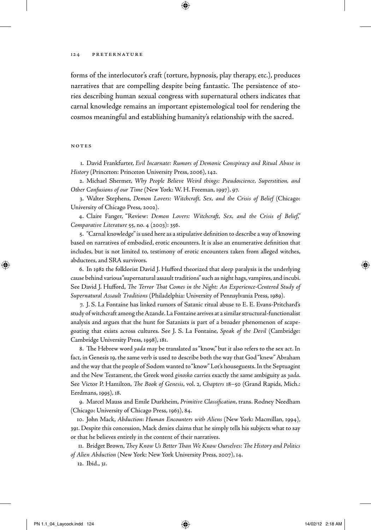forms of the interlocutor's craft (torture, hypnosis, play therapy, etc.), produces narratives that are compelling despite being fantastic. The persistence of stories describing human sexual congress with supernatural others indicates that carnal knowledge remains an important epistemological tool for rendering the cosmos meaningful and establishing humanity's relationship with the sacred.

#### notes

1. David Frankfurter, *Evil Incarnate: Rumors of Demonic Conspiracy and Ritual Abuse in History* (Princeton: Princeton University Press, 2006), 142.

2. Michael Shermer, *Why People Believe Weird things: Pseudoscience, Superstition, and Other Confusions of our Time* (New York: W. H. Freeman, 1997), 97.

3. Walter Stephens, *Demon Lovers: Witchcraft, Sex, and the Crisis of Belief* (Chicago: University of Chicago Press, 2002).

4. Claire Fanger, "Review: *Demon Lovers: Witchcraft, Sex, and the Crisis of Belief*," *Comparative Literature* 55, no. 4 (2003): 356.

5. "Carnal knowledge" is used here as a stipulative definition to describe a way of knowing based on narratives of embodied, erotic encounters. It is also an enumerative definition that includes, but is not limited to, testimony of erotic encounters taken from alleged witches, abductees, and SRA survivors.

6. In 1982 the folklorist David J. Hufford theorized that sleep paralysis is the underlying cause behind various "supernatural assault traditions" such as night hags, vampires, and incubi. See David J. Hufford, *The Terror That Comes in the Night: An Experience-Centered Study of Supernatural Assault Traditions* (Philadelphia: University of Pennsylvania Press, 1989).

7. J. S. La Fontaine has linked rumors of Satanic ritual abuse to E. E. Evans-Pritchard's study of witchcraft among the Azande. La Fontaine arrives at a similar structural-functionalist analysis and argues that the hunt for Satanists is part of a broader phenomenon of scapegoating that exists across cultures. See J. S. La Fontaine, *Speak of the Devil* (Cambridge: Cambridge University Press, 1998), 181.

8. The Hebrew word *yada* may be translated as "know," but it also refers to the sex act. In fact, in Genesis 19, the same verb is used to describe both the way that God "knew" Abraham and the way that the people of Sodom wanted to "know" Lot's houseguests. In the Septuagint and the New Testament, the Greek word *ginosko* carries exactly the same ambiguity as *yada*. See Victor P. Hamilton, *The Book of Genesis*, vol. 2, *Chapters* 18*–*50 (Grand Rapids, Mich.: Eerdmans, 1995), 18.

9. Marcel Mauss and Emile Durkheim, *Primitive Classification*, trans. Rodney Needham (Chicago: University of Chicago Press, 1963), 84.

10. John Mack, *Abduction*: *Human Encounters with Aliens* (New York: Macmillan, 1994), 391. Despite this concession, Mack denies claims that he simply tells his subjects what to say or that he believes entirely in the content of their narratives.

11. Bridget Brown, *They Know Us Better Than We Know Ourselves: The History and Politics of Alien Abduction* (New York: New York University Press, 2007), 14.

12. Ibid., 31.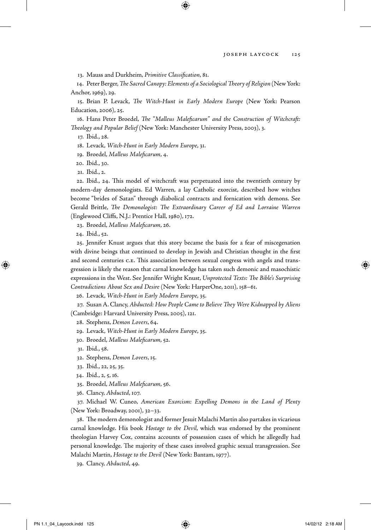13. Mauss and Durkheim, *Primitive Classification*, 81.

14. Peter Berger, *The Sacred Canopy: Elements of a Sociological Theory of Religion* (New York: Anchor, 1969), 29.

15. Brian P. Levack, *The Witch-Hunt in Early Modern Europe* (New York: Pearson Education, 2006), 25.

16. Hans Peter Broedel, *The "Malleus Maleficarum" and the Construction of Witchcraft: Theology and Popular Belief* (New York: Manchester University Press, 2003), 3.

17. Ibid., 28.

18. Levack, *Witch-Hunt in Early Modern Europe*, 31.

19. Broedel, *Malleus Maleficarum*, 4.

20. Ibid., 30.

21. Ibid., 2.

22. Ibid., 24. This model of witchcraft was perpetuated into the twentieth century by modern-day demonologists. Ed Warren, a lay Catholic exorcist, described how witches become "brides of Satan" through diabolical contracts and fornication with demons. See Gerald Brittle, *The Demonologist: The Extraordinary Career of Ed and Lorraine Warren* (Englewood Cliffs, N.J.: Prentice Hall, 1980), 172.

23. Broedel, *Malleus Maleficarum*, 26.

24. Ibid., 52.

25. Jennifer Knust argues that this story became the basis for a fear of miscegenation with divine beings that continued to develop in Jewish and Christian thought in the first and second centuries c.e. This association between sexual congress with angels and transgression is likely the reason that carnal knowledge has taken such demonic and masochistic expressions in the West. See Jennifer Wright Knust, *Unprotected Texts: The Bible's Surprising Contradictions About Sex and Desire* (New York: HarperOne, 2011), 158–61.

26. Levack, *Witch-Hunt in Early Modern Europe*, 35.

27. Susan A. Clancy, *Abducted: How People Came to Believe They Were Kidnapped by Aliens* (Cambridge: Harvard University Press, 2005), 121.

28. Stephens, *Demon Lovers*, 64.

29. Levack, *Witch-Hunt in Early Modern Europe*, 35.

30. Broedel, *Malleus Maleficarum*, 52.

32. Stephens, *Demon Lovers*, 15.

33. Ibid., 22, 25, 35.

- 34. Ibid., 2, 5, 16.
- 35. Broedel, *Malleus Maleficarum*, 56.
- 36. Clancy, *Abducted*, 107.

37. Michael W. Cuneo, *American Exorcism: Expelling Demons in the Land of Plenty* (New York: Broadway, 2001), 32–33.

38. The modern demonologist and former Jesuit Malachi Martin also partakes in vicarious carnal knowledge. His book *Hostage to the Devil*, which was endorsed by the prominent theologian Harvey Cox, contains accounts of possession cases of which he allegedly had personal knowledge. The majority of these cases involved graphic sexual transgression. See Malachi Martin, *Hostage to the Devil* (New York: Bantam, 1977).

39. Clancy, *Abducted*, 49.

<sup>31.</sup> Ibid., 58.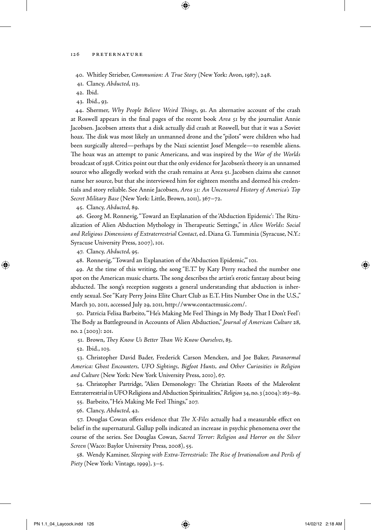- 40. Whitley Strieber, *Communion: A True Story* (New York: Avon, 1987), 248.
- 41. Clancy, *Abducted*, 113.
- 42. Ibid.
- 43. Ibid., 93.

44. Shermer, *Why People Believe Weird Things*, 91. An alternative account of the crash at Roswell appears in the final pages of the recent book *Area 51* by the journalist Annie Jacobsen. Jacobsen attests that a disk actually did crash at Roswell, but that it was a Soviet hoax. The disk was most likely an unmanned drone and the "pilots" were children who had been surgically altered—perhaps by the Nazi scientist Josef Mengele—to resemble aliens. The hoax was an attempt to panic Americans, and was inspired by the *War of the Worlds* broadcast of 1938. Critics point out that the only evidence for Jacobsen's theory is an unnamed source who allegedly worked with the crash remains at Area 51. Jacobsen claims she cannot name her source, but that she interviewed him for eighteen months and deemed his credentials and story reliable. See Annie Jacobsen, *Area 51: An Uncensored History of America's Top Secret Military Base* (New York: Little, Brown, 2011), 367–72.

45. Clancy, *Abducted*, 89.

46. Georg M. Ronnevig, "Toward an Explanation of the 'Abduction Epidemic': The Ritualization of Alien Abduction Mythology in Therapeutic Settings," in *Alien Worlds: Social and Religious Dimensions of Extraterrestrial Contact*, ed. Diana G. Tumminia (Syracuse, N.Y.: Syracuse University Press, 2007), 101.

47. Clancy, *Abducted*, 95.

48. Ronnevig, "Toward an Explanation of the 'Abduction Epidemic,'" 101.

49. At the time of this writing, the song "E.T." by Katy Perry reached the number one spot on the American music charts. The song describes the artist's erotic fantasy about being abducted. The song's reception suggests a general understanding that abduction is inherently sexual. See "Katy Perry Joins Elite Chart Club as E.T. Hits Number One in the U.S.," March 30, 2011, accessed July 29, 2011, http://www.contactmusic.com/.

50. Patricia Felisa Barbeito, "'He's Making Me Feel Things in My Body That I Don't Feel': The Body as Battleground in Accounts of Alien Abduction," *Journal of American Culture* 28, no. 2 (2003): 201.

51. Brown, *They Know Us Better Than We Know Ourselves*, 83.

52. Ibid., 103.

53. Christopher David Bader, Frederick Carson Mencken, and Joe Baker, *Paranormal America: Ghost Encounters, UFO Sightings, Bigfoot Hunts, and Other Curiosities in Religion and Culture* (New York: New York University Press, 2010), 67.

54. Christopher Partridge, "Alien Demonology: The Christian Roots of the Malevolent Extraterrestrial in UFO Religions and Abduction Spiritualities," *Religion* 34, no. 3 (2004): 163–89.

55. Barbeito, "He's Making Me Feel Things," 207.

56. Clancy, *Abducted*, 42.

57. Douglas Cowan offers evidence that *The X-Files* actually had a measurable effect on belief in the supernatural. Gallup polls indicated an increase in psychic phenomena over the course of the series. See Douglas Cowan, *Sacred Terror: Religion and Horror on the Silver Screen* (Waco: Baylor University Press, 2008), 55.

58. Wendy Kaminer, *Sleeping with Extra-Terrestrials: The Rise of Irrationalism and Perils of Piety* (New York: Vintage, 1999), 3–5.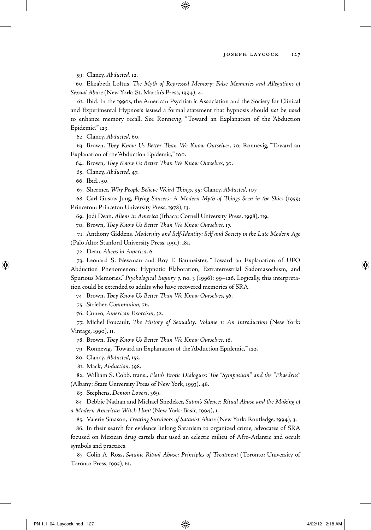59. Clancy, *Abducted*, 12.

60. Elizabeth Loftus, *The Myth of Repressed Memory*: *False Memories and Allegations of Sexual Abuse* (New York: St. Martin's Press, 1994), 4.

61. Ibid. In the 1990s, the American Psychiatric Association and the Society for Clinical and Experimental Hypnosis issued a formal statement that hypnosis should *not* be used to enhance memory recall. See Ronnevig, "Toward an Explanation of the 'Abduction Epidemic,'" 123.

62. Clancy, *Abducted*, 60.

63. Brown, *They Know Us Better Than We Know Ourselves*, 30; Ronnevig, "Toward an Explanation of the 'Abduction Epidemic,'" 100.

64. Brown, *They Know Us Better Than We Know Ourselves*, 30.

65. Clancy, *Abducted*, 47.

66. Ibid., 50.

67. Shermer, *Why People Believe Weird Things*, 95; Clancy, *Abducted*, 107.

68. Carl Gustav Jung, *Flying Saucers: A Modern Myth of Things Seen in the Skies* (1959; Princeton: Princeton University Press, 1978), 13.

69. Jodi Dean, *Aliens in America* (Ithaca: Cornell University Press, 1998), 119.

70. Brown, *They Know Us Better Than We Know Ourselves*, 17.

71. Anthony Giddens, *Modernity and Self-Identity: Self and Society in the Late Modern Age* (Palo Alto: Stanford University Press, 1991), 181.

72. Dean, *Aliens in America*, 6.

73. Leonard S. Newman and Roy F. Baumeister, "Toward an Explanation of UFO Abduction Phenomenon: Hypnotic Elaboration, Extraterrestrial Sadomasochism, and Spurious Memories," *Psychological Inquiry* 7, no. 3 (1996): 99–126. Logically, this interpretation could be extended to adults who have recovered memories of SRA.

74. Brown, *They Know Us Better Than We Know Ourselves*, 56.

75. Strieber, *Communion*, 76.

76. Cuneo, *American Exorcism*, 32.

77. Michel Foucault, *The History of Sexuality, Volume 1: An Introduction* (New York: Vintage, 1990), 11.

78. Brown, *They Know Us Better Than We Know Ourselves*, 16.

79. Ronnevig, "Toward an Explanation of the 'Abduction Epidemic,'" 122.

80. Clancy, *Abducted*, 153.

81. Mack, *Abduction*, 398.

82. William S. Cobb, trans., *Plato's Erotic Dialogues: The "Symposium" and the "Phaedrus"* (Albany: State University Press of New York, 1993), 48.

83. Stephens, *Demon Lovers*, 369.

84. Debbie Nathan and Michael Snedeker, *Satan's Silence: Ritual Abuse and the Making of a Modern American Witch Hunt* (New York: Basic, 1994), 1.

85. Valerie Sinason, *Treating Survivors of Satanist Abuse* (New York: Routledge, 1994), 3.

86. In their search for evidence linking Satanism to organized crime, advocates of SRA focused on Mexican drug cartels that used an eclectic milieu of Afro-Atlantic and occult symbols and practices.

87. Colin A. Ross, *Satanic Ritual Abuse: Principles of Treatment* (Toronto: University of Toronto Press, 1995), 61.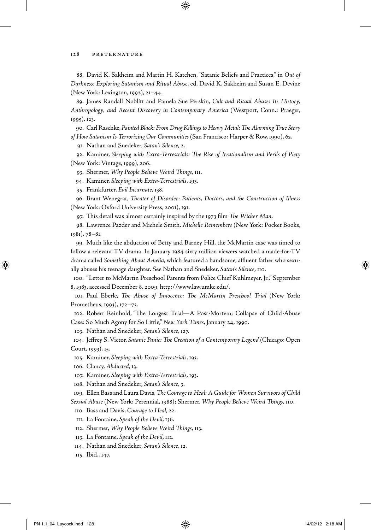88. David K. Sakheim and Martin H. Katchen, "Satanic Beliefs and Practices," in *Out of Darkness: Exploring Satanism and Ritual Abuse*, ed. David K. Sakheim and Susan E. Devine (New York: Lexington, 1992), 21–44.

89. James Randall Noblitt and Pamela Sue Perskin, *Cult and Ritual Abuse: Its History, Anthropology, and Recent Discovery in Contemporary America* (Westport, Conn.: Praeger, 1995), 123.

90. Carl Raschke, *Painted Black: From Drug Killings to Heavy Metal: The Alarming True Story of How Satanism Is Terrorizing Our Communities* (San Francisco: Harper & Row, 1990), 62.

91. Nathan and Snedeker, *Satan's Silence*, 2.

92. Kaminer, *Sleeping with Extra-Terrestrials: The Rise of Irrationalism and Perils of Piety* (New York: Vintage, 1999), 206.

93. Shermer, *Why People Believe Weird Things*, 111.

94. Kaminer, *Sleeping with Extra-Terrestrials*, 193.

95. Frankfurter, *Evil Incarnate*, 138.

96. Brant Wenegrat, *Theater of Disorder: Patients, Doctors, and the Construction of Illness* (New York: Oxford University Press, 2001), 191.

97. This detail was almost certainly inspired by the 1973 film *The Wicker Man*.

98. Lawrence Pazder and Michele Smith, *Michelle Remembers* (New York: Pocket Books, 1981), 78–81.

99. Much like the abduction of Betty and Barney Hill, the McMartin case was timed to follow a relevant TV drama. In January 1984 sixty million viewers watched a made-for-TV drama called *Something About Amelia*, which featured a handsome, affluent father who sexually abuses his teenage daughter. See Nathan and Snedeker, *Satan's Silence*, 110.

100. "Letter to McMartin Preschool Parents from Police Chief Kuhlmeyer, Jr.," September 8, 1983, accessed December 8, 2009, http://www.law.umkc.edu/.

101. Paul Eberle, *The Abuse of Innocence: The McMartin Preschool Trial* (New York: Prometheus, 1993), 172–73.

102. Robert Reinhold, "The Longest Trial—A Post-Mortem; Collapse of Child-Abuse Case: So Much Agony for So Little," *New York Times*, January 24, 1990.

103. Nathan and Snedeker, *Satan's Silence*, 127.

104. Jeffrey S. Victor, *Satanic Panic: The Creation of a Contemporary Legend* (Chicago: Open Court, 1993), 15.

105. Kaminer, *Sleeping with Extra-Terrestrials*, 193.

106. Clancy, *Abducted*, 13.

107. Kaminer, *Sleeping with Extra-Terrestrials*, 193.

108. Nathan and Snedeker, *Satan's Silence*, 3.

109. Ellen Bass and Laura Davis, *The Courage to Heal: A Guide for Women Survivors of Child Sexual Abuse* (New York: Perennial, 1988); Shermer, *Why People Believe Weird Things*, 110.

110. Bass and Davis, *Courage to Heal*, 22.

111. La Fontaine, *Speak of the Devil*, 136.

112. Shermer, *Why People Believe Weird Things*, 113.

113. La Fontaine, *Speak of the Devil*, 112.

114. Nathan and Snedeker, *Satan's Silence*, 12.

115. Ibid., 147.